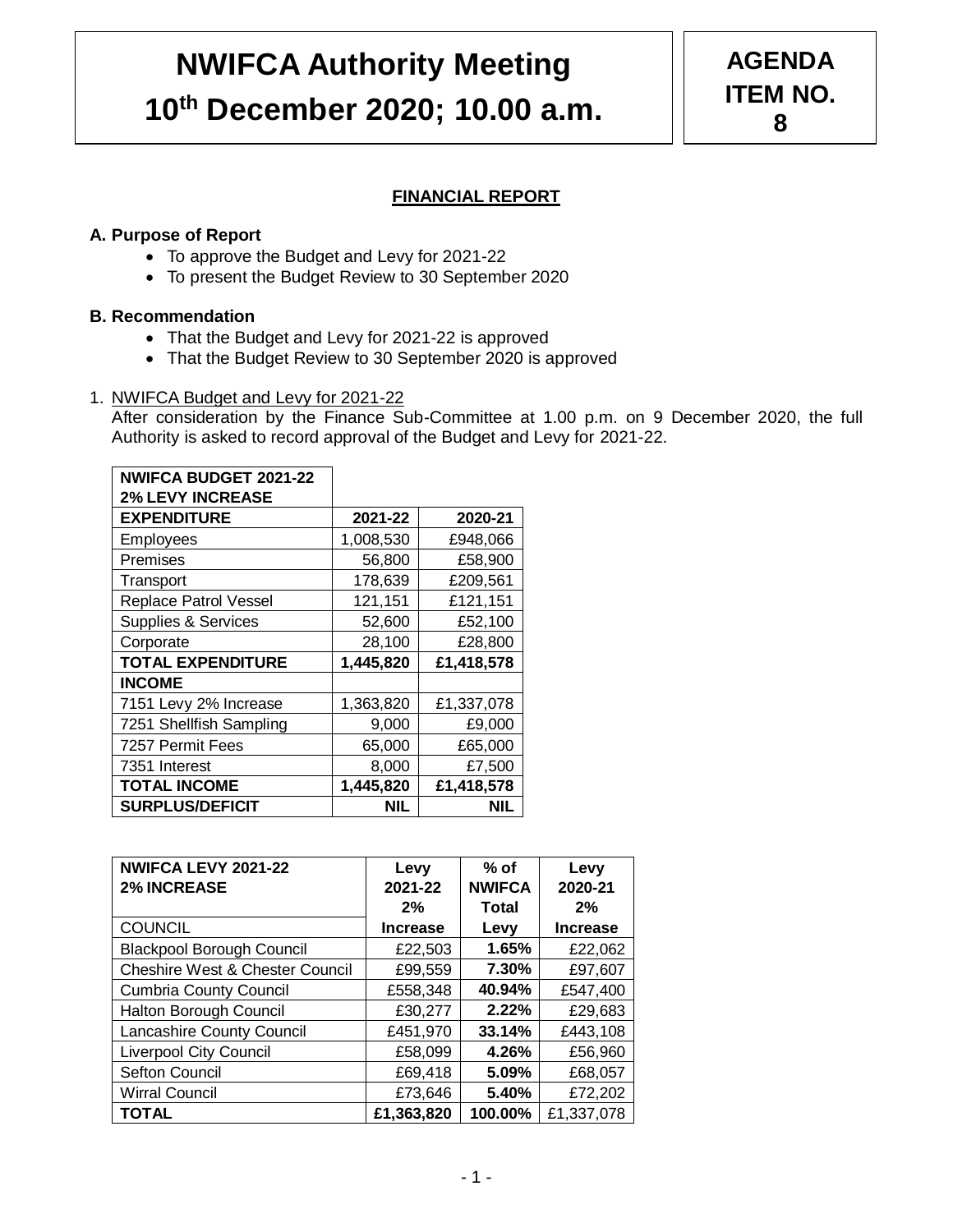# **NWIFCA Authority Meeting 10th December 2020; 10.00 a.m.**

# **FINANCIAL REPORT**

## **A. Purpose of Report**

- To approve the Budget and Levy for 2021-22
- To present the Budget Review to 30 September 2020

#### **B. Recommendation**

- That the Budget and Levy for 2021-22 is approved
- That the Budget Review to 30 September 2020 is approved

#### 1. NWIFCA Budget and Levy for 2021-22

After consideration by the Finance Sub-Committee at 1.00 p.m. on 9 December 2020, the full Authority is asked to record approval of the Budget and Levy for 2021-22.

| <b>NWIFCA BUDGET 2021-22</b>   |           |            |
|--------------------------------|-----------|------------|
| <b>2% LEVY INCREASE</b>        |           |            |
| <b>EXPENDITURE</b>             | 2021-22   | 2020-21    |
| Employees                      | 1,008,530 | £948,066   |
| Premises                       | 56,800    | £58,900    |
| Transport                      | 178,639   | £209,561   |
| <b>Replace Patrol Vessel</b>   | 121,151   | £121,151   |
| <b>Supplies &amp; Services</b> | 52,600    | £52,100    |
| Corporate                      | 28,100    | £28,800    |
| <b>TOTAL EXPENDITURE</b>       | 1,445,820 | £1,418,578 |
| <b>INCOME</b>                  |           |            |
| 7151 Levy 2% Increase          | 1,363,820 | £1,337,078 |
| 7251 Shellfish Sampling        | 9,000     | £9,000     |
| 7257 Permit Fees               | 65,000    | £65,000    |
| 7351 Interest                  | 8,000     | £7,500     |
| <b>TOTAL INCOME</b>            | 1,445,820 | £1,418,578 |
| <b>SURPLUS/DEFICIT</b>         | NIL       | NIL        |

| NWIFCA LEVY 2021-22<br><b>2% INCREASE</b>  | Levy<br>2021-22 | $%$ of<br><b>NWIFCA</b> | Levy<br>2020-21 |
|--------------------------------------------|-----------------|-------------------------|-----------------|
|                                            | 2%              | <b>Total</b>            | 2%              |
| <b>COUNCIL</b>                             | <b>Increase</b> | Levy                    | <b>Increase</b> |
| <b>Blackpool Borough Council</b>           | £22,503         | 1.65%                   | £22,062         |
| <b>Cheshire West &amp; Chester Council</b> | £99,559         | 7.30%                   | £97,607         |
| <b>Cumbria County Council</b>              | £558,348        | 40.94%                  | £547,400        |
| Halton Borough Council                     | £30,277         | 2.22%                   | £29,683         |
| Lancashire County Council                  | £451,970        | 33.14%                  | £443,108        |
| <b>Liverpool City Council</b>              | £58,099         | 4.26%                   | £56,960         |
| <b>Sefton Council</b>                      | £69,418         | 5.09%                   | £68,057         |
| <b>Wirral Council</b>                      | £73,646         | 5.40%                   | £72,202         |
| <b>TOTAL</b>                               | £1,363,820      | 100.00%                 | £1,337,078      |